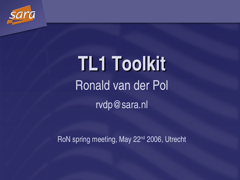

## **TL1 Toolkit** Ronald van der Pol rvdp@sara.nl

RoN spring meeting, May 22<sup>nd</sup> 2006, Utrecht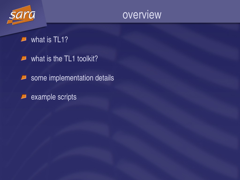

what is **TL1?**  $\sqrt{2}$ 

- what is the TL1 toolkit?  $\blacksquare$
- some implementation details  $\boldsymbol{\varphi}$
- example scripts $\overline{\phantom{a}}$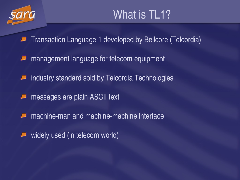

- Transaction Language 1 developed by Bellcore (Telcordia)
- management language for telecom equipment
- industry standard sold by Telcordia Technologies
- messages are plain ASCII text
- machine-man and machine-machine interface
- widely used (in telecom world)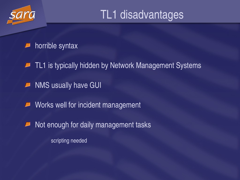

### TL1 disadvantages

### horrible syntax

- TL1 is typically hidden by Network Management Systems  $\overline{\phantom{a}}$
- NMS usually have GUI  $\overline{\phantom{a}}$
- Works well for incident management  $\overline{\phantom{a}}$
- Not enough for daily management tasks  $\Box$

scripting needed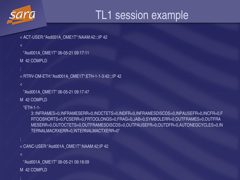

### TL1 session example

```
< ACT-USER:"Asd001A_OME1T":NAAM:42:::IP 42
```

```
\prec
```
"Asd001A\_OME1T" 06-05-21 09:17:11

M 42 COMPLD

```
< RTRV-OM-ETH:"Asd001A_OME1T":ETH-1-1-3:42::;IP 42
```

```
\prec
```
;<br>;

```
"Asd001A_OME1T" 06-05-21 09:17:47
```
M 42 COMPLD

"ETH-1-1-

3::INFRAMES=0,INFRAMESERR=0,INOCTETS=0,INDFR=0,INFRAMESDISCDS=0,INPAUSEFR=0,INCFR=0,F RTOOSHORTS=0,FCSERR=0,FRTOOLONGS=0,FRAG=0,JAB=0,SYMBOLERR=0,OUTFRAMES=0,OUTFRA MESERR=0,OUTOCTETS=0,OUTFRAMESDISCDS=0,OUTPAUSEFR=0,OUTDFR=0,AUTONEGCYCLES=0,IN TERNALMACRXERR=0,INTERNALMACTXERR=0"

```
< CANC-USER:"Asd001A_OME1T":NAAM:42;IP 42
```
 $\prec$ 

;<br>;

;

"Asd001A\_OME1T" 06-05-21 09:18:09

M 42 COMPLD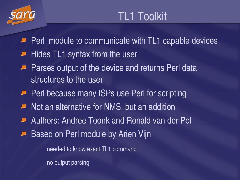

- $\blacksquare$  Perl module to communicate with TL1 capable devices
- $\blacksquare$  Hides TL1 syntax from the user
- $\blacksquare$  Parses output of the device and returns Perl data structures to the user
- **Perl because many ISPs use Perl for scripting**
- $\blacksquare$  Not an alternative for NMS, but an addition
- **Authors: Andree Toonk and Ronald van der Poll**
- Based on Perl module by Arien Vijn

needed to know exact TL1 command

no output parsing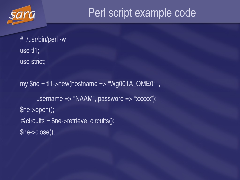

### Perl script example code

#! /usr/bin/perl -w use tl1; use strict;

my  $\$$ ne = tl1->new(hostname => "Wg001A\_OME01", username => "NAAM", password => "xxxxx"); \$ne>open();  $@$  circuits =  $\$$ ne->retrieve\_circuits(); \$ne>close();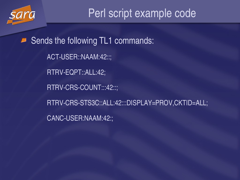

Sends the following TL1 commands:  $\boldsymbol{\varphi}$ ACT-USER::NAAM:42::; RTRV-EQPT::ALL:42; RTRV-CRS-COUNT:::42::; RTRV-CRS-STS3C::ALL:42:::DISPLAY=PROV,CKTID=ALL; CANC-USER:NAAM:42:;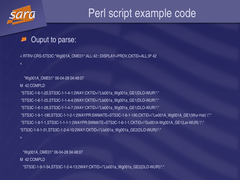

 $\,<$ 

### Perl script example code

### Ouput to parse:

< RTRV-CRS-STS3C:"Wg001A\_OME01":ALL:42:::DISPLAY=PROV,CKTID=ALL;IP 42

"Wg001A\_OME01" 06-04-28 04:48:07

M 42 COMPLD

"STS3C-1-6-1-22,STS3C-1-1-4-1:2WAY:CKTID=\"LIs001a\_Wg001a\_GE1(DLO-WUR\":" "STS3C-1-6-1-25,STS3C-1-1-4-4:2WAY:CKTID=\"LIs001a\_Wg001a\_GE1(DLO-WUR\":" "STS3C-1-6-1-28,STS3C-1-1-4-7:2WAY:CKTID=\"LIs001a\_Wg001a\_GE1(DLO-WUR\":" "STS3C-1-9-1-190,STS3C-1-1-2-1:2WAYPR:SWMATE=STS3C-1-6-1-190,CKTID=\"Lw001A\_Wg001A\_GE1(Wur-Hal) \":" "STS3C-1-9-1-1,STS3C-1-1-1-1:2WAYPR:SWMATE=STS3C-1-6-1-1,CKTID=\"Gv001A-Wg001A\_GE1(Lei-WUR) \":" "STS3C-1-9-1-31,STS3C-1-2-4-10:2WAY:CKTID=\"Lls001a\_Wg001a\_GE2(DLO-WUR)\":"

 $\geq$ 

"Wg001A\_OME01" 06-04-28 04:48:07

M 42 COMPLD

"STS3C19134,STS3C12413:2WAY:CKTID=\"Lls001a\_Wg001a\_GE2(DLOWUR)\":"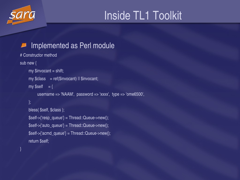

## Inside TL1 Toolkit

### Implemented as Perl module

```
# Constructor method
sub new {
     my $invocant = shift;my \text{Sclass} = \text{ref}(\text{Sinvocant}) || \text{Sinvocant};
     my \$self = \{username => 'NAAM', password => 'xxxx', type => 'ome6500',
     };
     bless( $self, $class );
     $self>{'resp_queue'} = Thread::Queue>new();
     $self>{'auto_queue'} = Thread::Queue>new();
     $self>{'acmd_queue'} = Thread::Queue>new();
     return $self;
```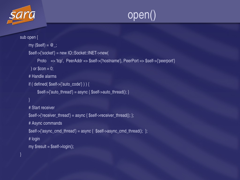



```
sub open {
     my (\$self) = @;
     $self>{'socket'} = new IO::Socket::INET>new(
           Proto => 'tcp', PeerAddr => $self>{'hostname'}, PeerPort => $self>{'peerport'}
      ) or \text{\$con} = 0;
     # Handle alarms
     if ( defined( $self-<'auto_code'} ) ) {
           \text{Sself} > \{\text{'auto\_thread'}\} = \text{async} \{ \text{Sself} > \text{auto\_thread}(); \}}
     # Start receiver
     $self-<'receiver_thread'} = async { $self->receiver_thread(); };
     # Async commands
     $self~>{'async_cmd_thread'} = async { $self~>async\_cmd_thread(); };
     # login
     my $result = $self->login();
```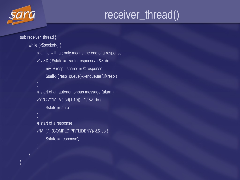### receiver\_thread()

```
sub receiver_thread {
     while (<$socket>) {
          # a line with a ; only means the end of a response
          /<sup>\land</sup>;/ && ($state =~ /autolresponse/) && do {
               my @ resp : shared = @ response;
               $self>{'resp_queue'}>enqueue( \@resp )
          }
          # start of an autonomonous message (alarm)
          /^(\*C|\*\*|\* |A ) (\d{1,10}) (.*)/ && do {
               \$state = 'auto';}
          # start of a response
          /^M (.*) (COMPLDIPRTLIDENY)/ && do {
               $state = 'response';
          }
```
}

}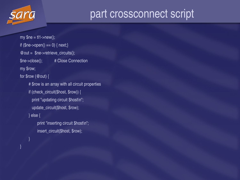

### part crossconnect script

my  $\$$ ne = tl1->new(); if  $(\$ne->open() == 0)$  { next;}  $@$  out =  $@$ ne->retrieve\_circuits(); \$ne->close(); # Close Connection my \$row; for \$row (@out) { # \$row is an array with all circuit properties if (check\_circuit(\$host, \$row)) { print "updating circuit \$host\n"; update\_circuit(\$host, \$row); } else { print "inserting circuit \$host\n"; insert\_circuit(\$host, \$row); }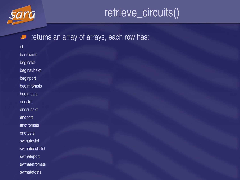

### retrieve\_circuits()

#### returns an array of arrays, each row has:  $\Box$

id bandwidth beginslot beginsubslot beginport beginfromsts begintosts endslot endsubslot endport endfromsts endtosts swmateslot swmatesubslot swmateport swmatefromsts swmatetosts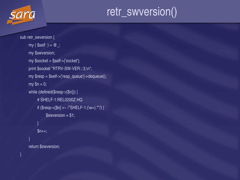

## retr\_swversion()

```
sub retr_swversion {
     my ($self ) = @_{-};
     my $swversion;
     my $socket = $self>{'socket'};
     print $socket "RTRV-SW-VER:::3;\n";
     my $resp = $self->{'resp_queue'}->dequeue();
     my $n = 0;while (defined($resp>[$n])) {
          # SHELF1:REL0200Z.HQ
          if (\$resp->[\$n] = ~ / "SHELF-1:(\w +).^{*'}') {
               $s<sub>w</sub>version = $1;}
          $n++;}
     return $swversion;
```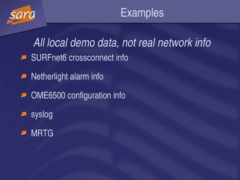

*All local demo data, not real network info* ■ SURFnet6 crossconnect info

Netherlight alarm info  $\overline{\phantom{a}}$ 

**D** OME6500 configuration info

syslog  $\boldsymbol{\varphi}$ 

MRTG $\Box$